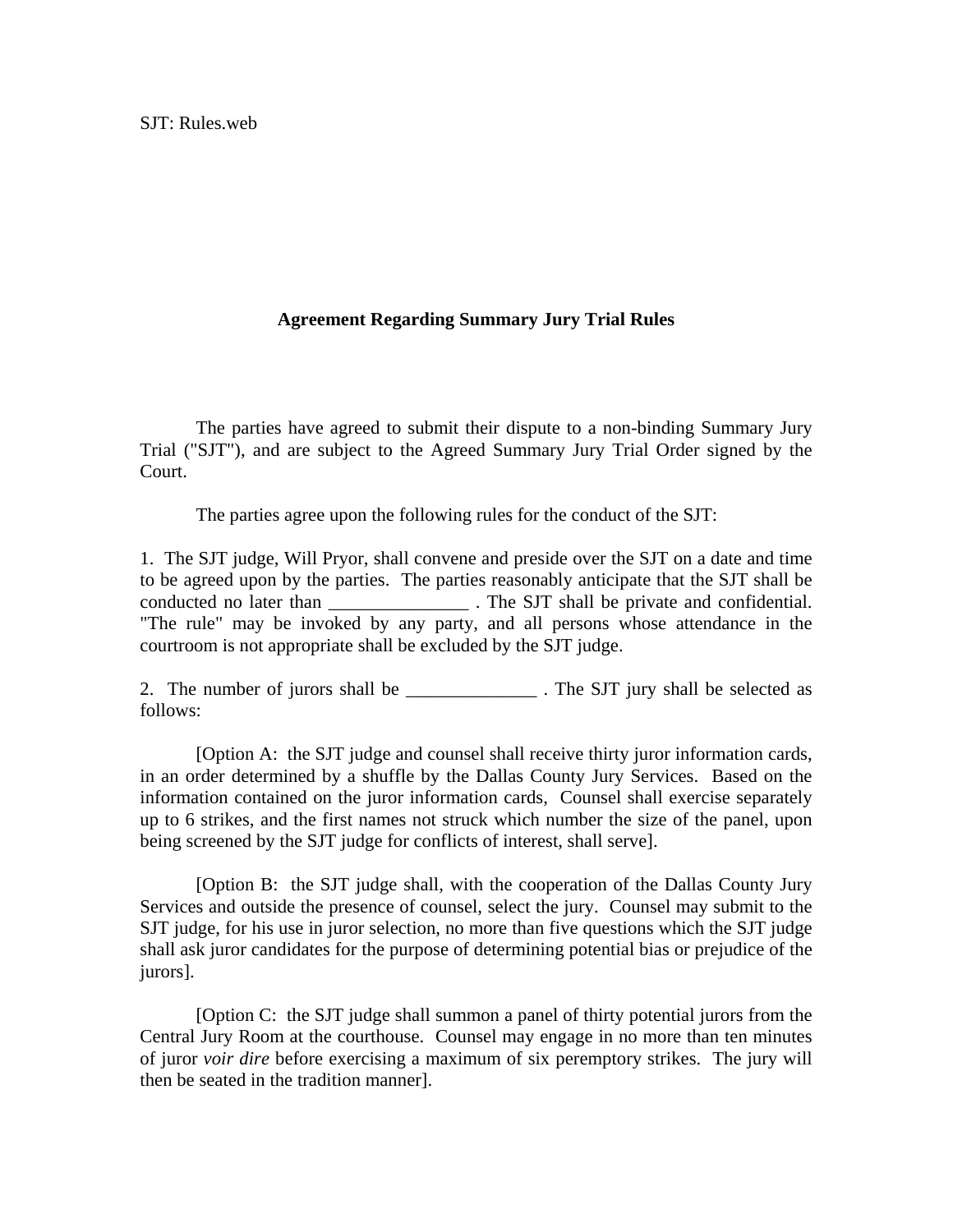## **Agreement Regarding Summary Jury Trial Rules**

 The parties have agreed to submit their dispute to a non-binding Summary Jury Trial ("SJT"), and are subject to the Agreed Summary Jury Trial Order signed by the Court.

The parties agree upon the following rules for the conduct of the SJT:

1. The SJT judge, Will Pryor, shall convene and preside over the SJT on a date and time to be agreed upon by the parties. The parties reasonably anticipate that the SJT shall be conducted no later than The SJT shall be private and confidential. "The rule" may be invoked by any party, and all persons whose attendance in the courtroom is not appropriate shall be excluded by the SJT judge.

2. The number of jurors shall be \_\_\_\_\_\_\_\_\_\_\_\_\_\_\_\_\_\_\_. The SJT jury shall be selected as follows:

 [Option A: the SJT judge and counsel shall receive thirty juror information cards, in an order determined by a shuffle by the Dallas County Jury Services. Based on the information contained on the juror information cards, Counsel shall exercise separately up to 6 strikes, and the first names not struck which number the size of the panel, upon being screened by the SJT judge for conflicts of interest, shall serve].

 [Option B: the SJT judge shall, with the cooperation of the Dallas County Jury Services and outside the presence of counsel, select the jury. Counsel may submit to the SJT judge, for his use in juror selection, no more than five questions which the SJT judge shall ask juror candidates for the purpose of determining potential bias or prejudice of the jurors].

 [Option C: the SJT judge shall summon a panel of thirty potential jurors from the Central Jury Room at the courthouse. Counsel may engage in no more than ten minutes of juror *voir dire* before exercising a maximum of six peremptory strikes. The jury will then be seated in the tradition manner].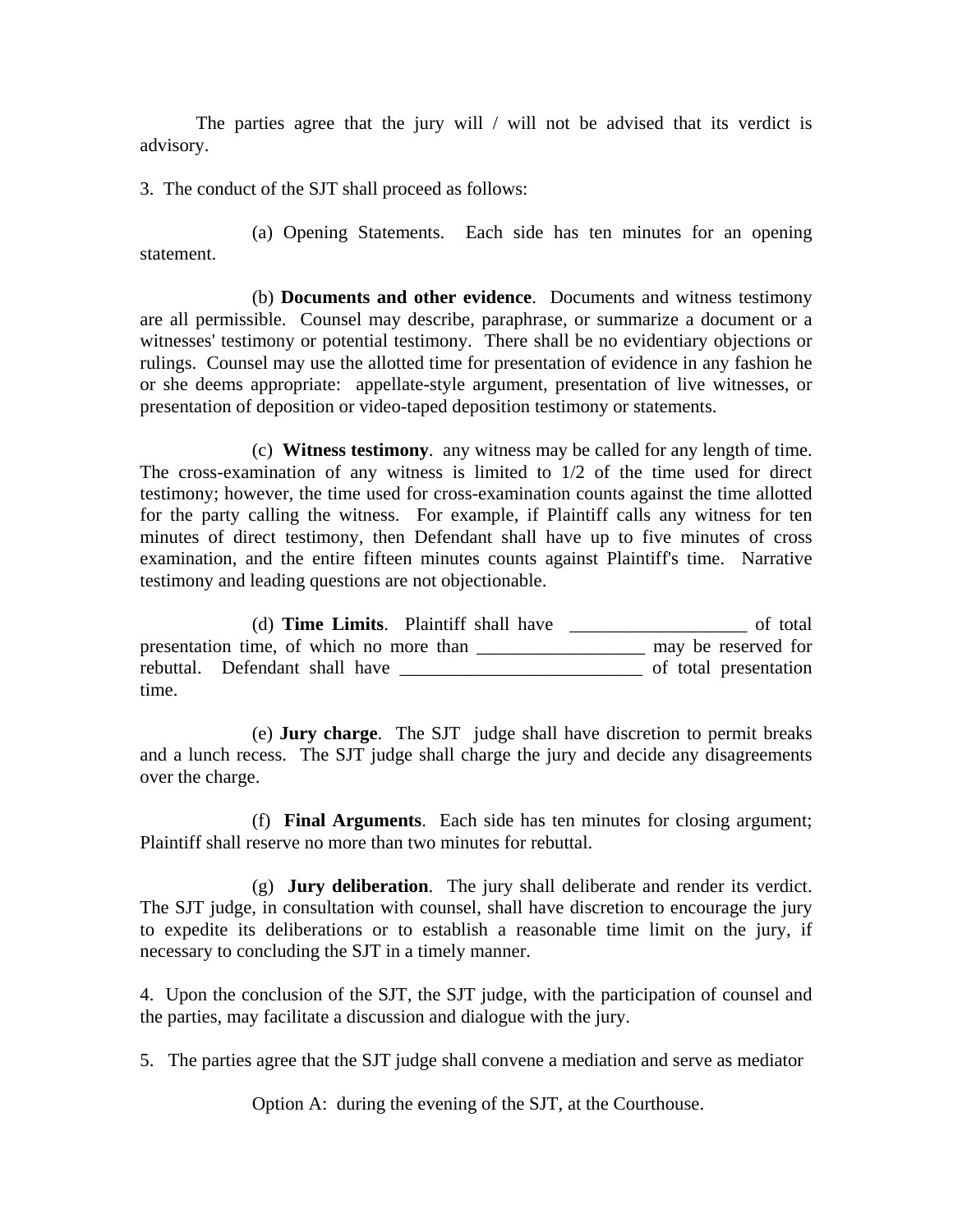The parties agree that the jury will / will not be advised that its verdict is advisory.

3. The conduct of the SJT shall proceed as follows:

 (a) Opening Statements. Each side has ten minutes for an opening statement.

 (b) **Documents and other evidence**. Documents and witness testimony are all permissible. Counsel may describe, paraphrase, or summarize a document or a witnesses' testimony or potential testimony. There shall be no evidentiary objections or rulings. Counsel may use the allotted time for presentation of evidence in any fashion he or she deems appropriate: appellate-style argument, presentation of live witnesses, or presentation of deposition or video-taped deposition testimony or statements.

 (c) **Witness testimony**. any witness may be called for any length of time. The cross-examination of any witness is limited to 1/2 of the time used for direct testimony; however, the time used for cross-examination counts against the time allotted for the party calling the witness. For example, if Plaintiff calls any witness for ten minutes of direct testimony, then Defendant shall have up to five minutes of cross examination, and the entire fifteen minutes counts against Plaintiff's time. Narrative testimony and leading questions are not objectionable.

 (d) **Time Limits**. Plaintiff shall have \_\_\_\_\_\_\_\_\_\_\_\_\_\_\_\_\_\_\_ of total presentation time, of which no more than \_\_\_\_\_\_\_\_\_\_\_\_\_\_\_\_\_\_\_\_\_ may be reserved for rebuttal. Defendant shall have of total presentation time.

 (e) **Jury charge**. The SJT judge shall have discretion to permit breaks and a lunch recess. The SJT judge shall charge the jury and decide any disagreements over the charge.

 (f) **Final Arguments**. Each side has ten minutes for closing argument; Plaintiff shall reserve no more than two minutes for rebuttal.

 (g) **Jury deliberation**. The jury shall deliberate and render its verdict. The SJT judge, in consultation with counsel, shall have discretion to encourage the jury to expedite its deliberations or to establish a reasonable time limit on the jury, if necessary to concluding the SJT in a timely manner.

4. Upon the conclusion of the SJT, the SJT judge, with the participation of counsel and the parties, may facilitate a discussion and dialogue with the jury.

5. The parties agree that the SJT judge shall convene a mediation and serve as mediator

Option A: during the evening of the SJT, at the Courthouse.